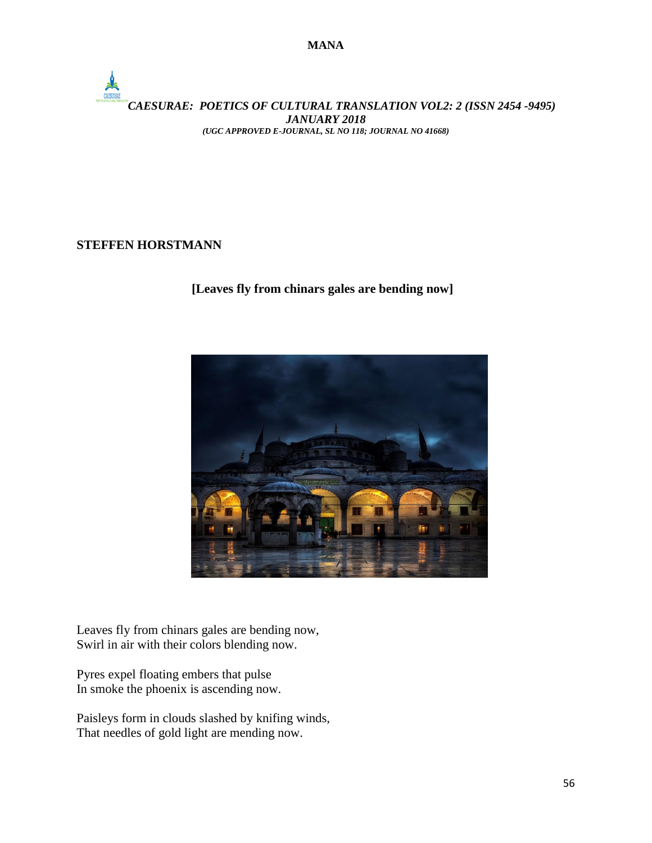$\frac{1}{2}$ *CAESURAE: POETICS OF CULTURAL TRANSLATION VOL2: 2 (ISSN 2454 -9495) JANUARY 2018 (UGC APPROVED E-JOURNAL, SL NO 118; JOURNAL NO 41668)*

## **STEFFEN HORSTMANN**

**[Leaves fly from chinars gales are bending now]**



Leaves fly from chinars gales are bending now, Swirl in air with their colors blending now.

Pyres expel floating embers that pulse In smoke the phoenix is ascending now.

Paisleys form in clouds slashed by knifing winds, That needles of gold light are mending now.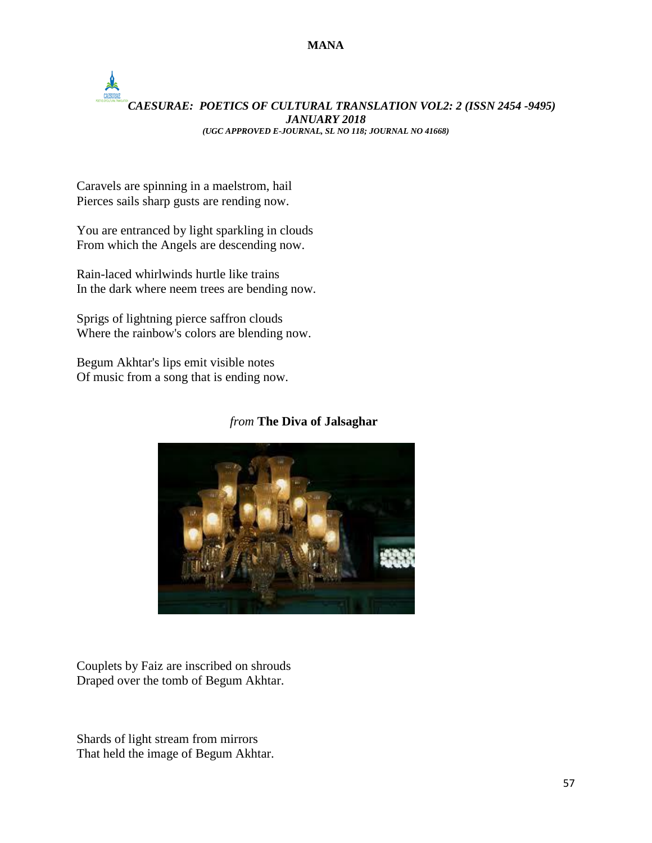## *CAESURAE: POETICS OF CULTURAL TRANSLATION VOL2: 2 (ISSN 2454 -9495) JANUARY 2018 (UGC APPROVED E-JOURNAL, SL NO 118; JOURNAL NO 41668)*

Caravels are spinning in a maelstrom, hail Pierces sails sharp gusts are rending now.

You are entranced by light sparkling in clouds From which the Angels are descending now.

Rain-laced whirlwinds hurtle like trains In the dark where neem trees are bending now.

Sprigs of lightning pierce saffron clouds Where the rainbow's colors are blending now.

Begum Akhtar's lips emit visible notes Of music from a song that is ending now.

## *from* **The Diva of Jalsaghar**



Couplets by Faiz are inscribed on shrouds Draped over the tomb of Begum Akhtar.

Shards of light stream from mirrors That held the image of Begum Akhtar.